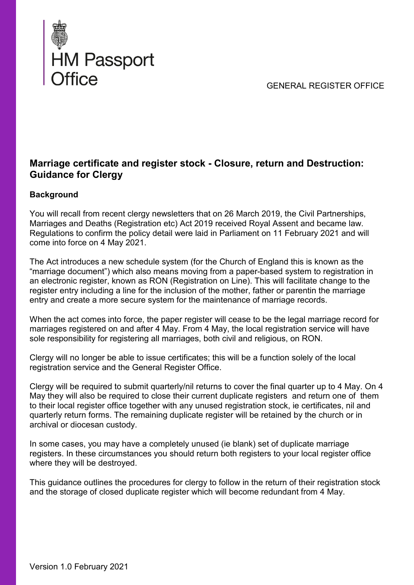GENERAL REGISTER OFFICE



# **Marriage certificate and register stock - Closure, return and Destruction: Guidance for Clergy**

## **Background**

You will recall from recent clergy newsletters that on 26 March 2019, the Civil Partnerships, Marriages and Deaths (Registration etc) Act 2019 received Royal Assent and became law. Regulations to confirm the policy detail were laid in Parliament on 11 February 2021 and will come into force on 4 May 2021.

The Act introduces a new schedule system (for the Church of England this is known as the "marriage document") which also means moving from a paper-based system to registration in an electronic register, known as RON (Registration on Line). This will facilitate change to the register entry including a line for the inclusion of the mother, father or parentin the marriage entry and create a more secure system for the maintenance of marriage records.

When the act comes into force, the paper register will cease to be the legal marriage record for marriages registered on and after 4 May. From 4 May, the local registration service will have sole responsibility for registering all marriages, both civil and religious, on RON.

Clergy will no longer be able to issue certificates; this will be a function solely of the local registration service and the General Register Office.

Clergy will be required to submit quarterly/nil returns to cover the final quarter up to 4 May. On 4 May they will also be required to close their current duplicate registers and return one of them to their local register office together with any unused registration stock, ie certificates, nil and quarterly return forms. The remaining duplicate register will be retained by the church or in archival or diocesan custody.

In some cases, you may have a completely unused (ie blank) set of duplicate marriage registers. In these circumstances you should return both registers to your local register office where they will be destroyed.

This guidance outlines the procedures for clergy to follow in the return of their registration stock and the storage of closed duplicate register which will become redundant from 4 May.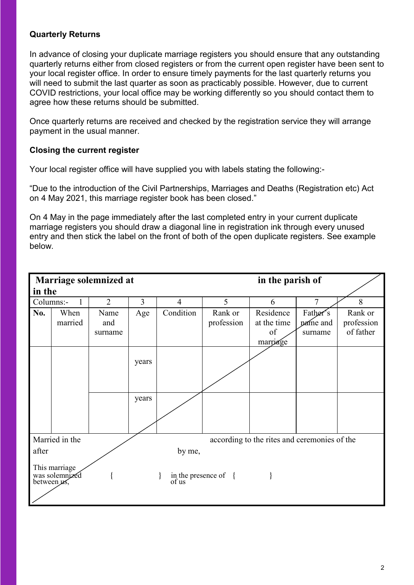#### **Quarterly Returns**

In advance of closing your duplicate marriage registers you should ensure that any outstanding quarterly returns either from closed registers or from the current open register have been sent to your local register office. In order to ensure timely payments for the last quarterly returns you will need to submit the last quarter as soon as practicably possible. However, due to current COVID restrictions, your local office may be working differently so you should contact them to agree how these returns should be submitted.

Once quarterly returns are received and checked by the registration service they will arrange payment in the usual manner.

### **Closing the current register**

Your local register office will have supplied you with labels stating the following:-

"Due to the introduction of the Civil Partnerships, Marriages and Deaths (Registration etc) Act on 4 May 2021, this marriage register book has been closed."

On 4 May in the page immediately after the last completed entry in your current duplicate marriage registers you should draw a diagonal line in registration ink through every unused entry and then stick the label on the front of both of the open duplicate registers. See example below.

|                                                                |         | Marriage solemnized at |       |                | in the parish of              |             |          |            |
|----------------------------------------------------------------|---------|------------------------|-------|----------------|-------------------------------|-------------|----------|------------|
| in the                                                         |         |                        |       |                |                               |             |          |            |
| Columns:-                                                      | 1       | $\overline{2}$         | 3     | $\overline{4}$ | 5                             | 6           | 7        | 8          |
| No.                                                            | When    | Name                   | Age   | Condition      | Rank or                       | Residence   | Father's | Rank or    |
|                                                                | married | and                    |       |                | profession                    | at the time | pame and | profession |
|                                                                |         | surname                |       |                |                               | of          | surname  | of father  |
|                                                                |         |                        |       |                |                               | marriage    |          |            |
|                                                                |         |                        |       |                |                               |             |          |            |
|                                                                |         |                        | years |                |                               |             |          |            |
|                                                                |         |                        |       |                |                               |             |          |            |
|                                                                |         |                        |       |                |                               |             |          |            |
|                                                                |         |                        | years |                |                               |             |          |            |
|                                                                |         |                        |       |                |                               |             |          |            |
|                                                                |         |                        |       |                |                               |             |          |            |
|                                                                |         |                        |       |                |                               |             |          |            |
| Married in the<br>according to the rites and ceremonies of the |         |                        |       |                |                               |             |          |            |
| after                                                          |         |                        |       | by me,         |                               |             |          |            |
| This marriage<br>was solemnized<br>between us,                 |         |                        |       |                | in the presence of {<br>of us |             |          |            |
|                                                                |         |                        |       |                |                               |             |          |            |